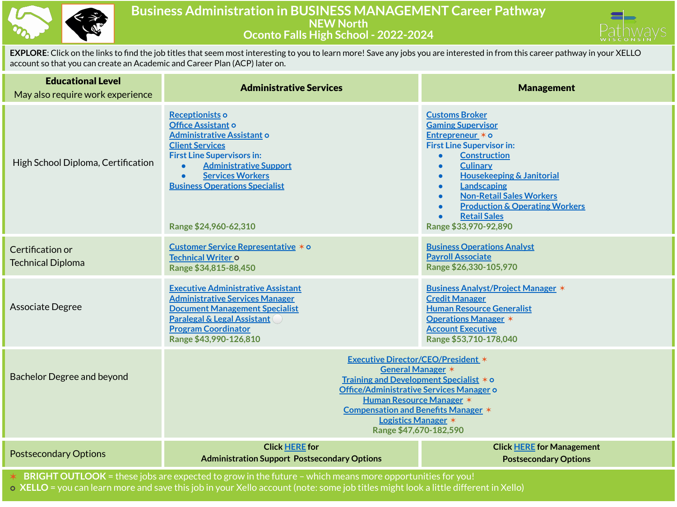

## **Business Administration in BUSINESS MANAGEMENT Career Pathway NEW North Oconto Falls High School - 2022-2024**



**EXPLORE**: Click on the links to find the job titles that seem most interesting to you to learn more! Save any jobs you are interested in from this career pathway in your XELLO account so that you can create an Academic and Career Plan (ACP) later on.

| <b>Educational Level</b><br>May also require work experience | <b>Administrative Services</b>                                                                                                                                                                                                                                                                        | <b>Management</b>                                                                                                                                                                                                                                                                                                                                                                                                                     |
|--------------------------------------------------------------|-------------------------------------------------------------------------------------------------------------------------------------------------------------------------------------------------------------------------------------------------------------------------------------------------------|---------------------------------------------------------------------------------------------------------------------------------------------------------------------------------------------------------------------------------------------------------------------------------------------------------------------------------------------------------------------------------------------------------------------------------------|
| High School Diploma, Certification                           | Receptionists o<br>Office Assistant o<br><b>Administrative Assistant o</b><br><b>Client Services</b><br><b>First Line Supervisors in:</b><br><b>Administrative Support</b><br><b>Services Workers</b><br><b>Business Operations Specialist</b><br>Range \$24,960-62,310                               | <b>Customs Broker</b><br><b>Gaming Supervisor</b><br>Entrepreneur * o<br><b>First Line Supervisor in:</b><br><b>Construction</b><br>$\bullet$<br><b>Culinary</b><br>$\bullet$<br><b>Housekeeping &amp; Janitorial</b><br>$\bullet$<br>Landscaping<br>$\bullet$<br><b>Non-Retail Sales Workers</b><br>$\bullet$<br><b>Production &amp; Operating Workers</b><br>$\bullet$<br><b>Retail Sales</b><br>$\bullet$<br>Range \$33,970-92,890 |
| Certification or<br><b>Technical Diploma</b>                 | Customer Service Representative * o<br>Technical Writer o<br>Range \$34,815-88,450                                                                                                                                                                                                                    | <b>Business Operations Analyst</b><br><b>Payroll Associate</b><br>Range \$26,330-105,970                                                                                                                                                                                                                                                                                                                                              |
| Associate Degree                                             | <b>Executive Administrative Assistant</b><br><b>Administrative Services Manager</b><br><b>Document Management Specialist</b><br><b>Paralegal &amp; Legal Assistant</b><br><b>Program Coordinator</b><br>Range \$43,990-126,810                                                                        | <b>Business Analyst/Project Manager *</b><br><b>Credit Manager</b><br><b>Human Resource Generalist</b><br><b>Operations Manager *</b><br><b>Account Executive</b><br>Range \$53,710-178,040                                                                                                                                                                                                                                           |
| <b>Bachelor Degree and beyond</b>                            | <b>Executive Director/CEO/President *</b><br><b>General Manager *</b><br>Training and Development Specialist * o<br>Office/Administrative Services Manager o<br><b>Human Resource Manager *</b><br><b>Compensation and Benefits Manager *</b><br><b>Logistics Manager *</b><br>Range \$47,670-182,590 |                                                                                                                                                                                                                                                                                                                                                                                                                                       |
| <b>Postsecondary Options</b>                                 | <b>Click HERE for</b><br><b>Administration Support Postsecondary Options</b>                                                                                                                                                                                                                          | <b>Click HERE for Management</b><br><b>Postsecondary Options</b>                                                                                                                                                                                                                                                                                                                                                                      |
|                                                              | $*$ <b>BRIGHT OUTLOOK</b> = these jobs are expected to grow in the future – which means more opportunities for you                                                                                                                                                                                    |                                                                                                                                                                                                                                                                                                                                                                                                                                       |

✶ **BRIGHT OUTLOOK** = these jobs are expected to grow in the future – which means more opportunities for you!

⭘ **XELLO** = you can learn more and save this job in your Xello account (note: some job titles might look a little different in Xello)